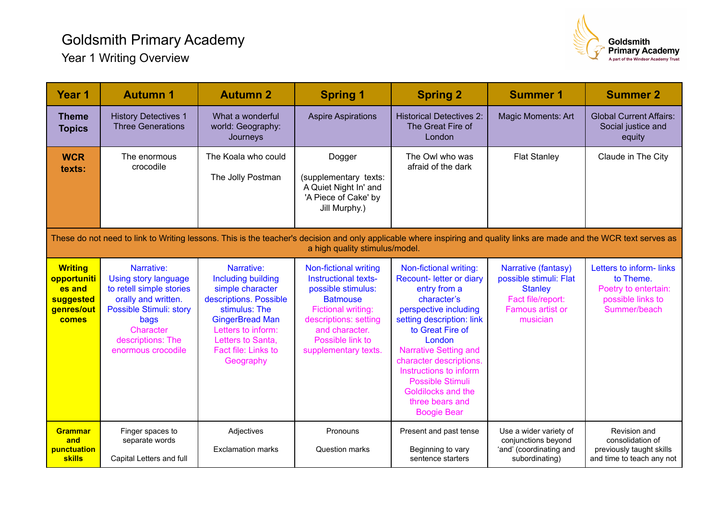## Goldsmith Primary Academy Year 1 Writing Overview



| Year 1                                                                                                                                                                                                   | <b>Autumn 1</b>                                                                                                                                                                         | <b>Autumn 2</b>                                                                                                                                                                                                 | <b>Spring 1</b>                                                                                                                                                                                            | <b>Spring 2</b>                                                                                                                                                                                                                                                                                                                               | <b>Summer 1</b>                                                                                                      | <b>Summer 2</b>                                                                                   |  |  |  |  |
|----------------------------------------------------------------------------------------------------------------------------------------------------------------------------------------------------------|-----------------------------------------------------------------------------------------------------------------------------------------------------------------------------------------|-----------------------------------------------------------------------------------------------------------------------------------------------------------------------------------------------------------------|------------------------------------------------------------------------------------------------------------------------------------------------------------------------------------------------------------|-----------------------------------------------------------------------------------------------------------------------------------------------------------------------------------------------------------------------------------------------------------------------------------------------------------------------------------------------|----------------------------------------------------------------------------------------------------------------------|---------------------------------------------------------------------------------------------------|--|--|--|--|
| <b>Theme</b><br><b>Topics</b>                                                                                                                                                                            | <b>History Detectives 1</b><br><b>Three Generations</b>                                                                                                                                 | What a wonderful<br>world: Geography:<br>Journeys                                                                                                                                                               | <b>Aspire Aspirations</b>                                                                                                                                                                                  | <b>Historical Detectives 2:</b><br>The Great Fire of<br>London                                                                                                                                                                                                                                                                                | <b>Magic Moments: Art</b>                                                                                            | <b>Global Current Affairs:</b><br>Social justice and<br>equity                                    |  |  |  |  |
| <b>WCR</b><br>texts:                                                                                                                                                                                     | The enormous<br>crocodile                                                                                                                                                               | The Koala who could<br>The Jolly Postman                                                                                                                                                                        | Dogger<br>(supplementary texts:<br>A Quiet Night In' and<br>'A Piece of Cake' by<br>Jill Murphy.)                                                                                                          | The Owl who was<br>afraid of the dark                                                                                                                                                                                                                                                                                                         | <b>Flat Stanley</b>                                                                                                  | Claude in The City                                                                                |  |  |  |  |
| These do not need to link to Writing lessons. This is the teacher's decision and only applicable where inspiring and quality links are made and the WCR text serves as<br>a high quality stimulus/model. |                                                                                                                                                                                         |                                                                                                                                                                                                                 |                                                                                                                                                                                                            |                                                                                                                                                                                                                                                                                                                                               |                                                                                                                      |                                                                                                   |  |  |  |  |
| <b>Writing</b><br>opportuniti<br>es and<br>suggested<br>genres/out<br>comes                                                                                                                              | Narrative:<br>Using story language<br>to retell simple stories<br>orally and written.<br><b>Possible Stimuli: story</b><br>bags<br>Character<br>descriptions: The<br>enormous crocodile | Narrative:<br><b>Including building</b><br>simple character<br>descriptions. Possible<br>stimulus: The<br><b>GingerBread Man</b><br>Letters to inform:<br>Letters to Santa,<br>Fact file: Links to<br>Geography | Non-fictional writing<br>Instructional texts-<br>possible stimulus:<br><b>Batmouse</b><br><b>Fictional writing:</b><br>descriptions: setting<br>and character.<br>Possible link to<br>supplementary texts. | Non-fictional writing:<br>Recount- letter or diary<br>entry from a<br>character's<br>perspective including<br>setting description: link<br>to Great Fire of<br>London<br><b>Narrative Setting and</b><br>character descriptions.<br>Instructions to inform<br>Possible Stimuli<br>Goldilocks and the<br>three bears and<br><b>Boogie Bear</b> | Narrative (fantasy)<br>possible stimuli: Flat<br><b>Stanley</b><br>Fact file/report:<br>Famous artist or<br>musician | Letters to inform-links<br>to Theme.<br>Poetry to entertain:<br>possible links to<br>Summer/beach |  |  |  |  |
| <b>Grammar</b><br>and<br>punctuation<br><b>skills</b>                                                                                                                                                    | Finger spaces to<br>separate words<br>Capital Letters and full                                                                                                                          | Adjectives<br><b>Exclamation marks</b>                                                                                                                                                                          | Pronouns<br><b>Question marks</b>                                                                                                                                                                          | Present and past tense<br>Beginning to vary<br>sentence starters                                                                                                                                                                                                                                                                              | Use a wider variety of<br>conjunctions beyond<br>'and' (coordinating and<br>subordinating)                           | Revision and<br>consolidation of<br>previously taught skills<br>and time to teach any not         |  |  |  |  |